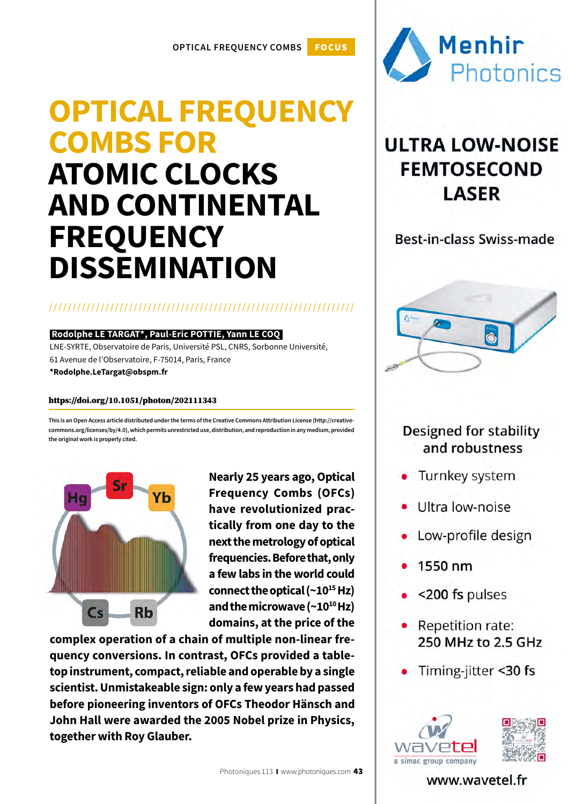## **OPTICAL FREQUENCY COMBS FOR ATOMIC CLOCKS AND CONTINENTAL FREQUENCY DISSEMINATION**

### /////////////////////////////////////////////////////////////////

### **Rodolphe LE TARGAT\*, Paul-Eric POTTIE, Yann LE COQ**

LNE-SYRTE, Observatoire de Paris, Université PSL, CNRS, Sorbonne Université, 61 Avenue de l'Observatoire, F-75014, Paris, France

**\*Rodolphe.LeTargat@obspm.fr**

### https://doi.org/10.1051/photon/202111343

**This is an Open Access article distributed under the terms of the Creative Commons Attribution License (http://creativecommons.org/licenses/by/4.0), which permits unrestricted use, distribution, and reproduction in any medium, provided the original work is properly cited.**



**Nearly 25 years ago, Optical Frequency Combs (OFCs) have revolutionized practically from one day to the next the metrology of optical frequencies. Before that, only a few labs in the world could connect the optical (~1015 Hz) and the microwave (~1010 Hz) domains, at the price of the** 

**complex operation of a chain of multiple non-linear frequency conversions. In contrast, OFCs provided a tabletop instrument, compact, reliable and operable by a single scientist. Unmistakeable sign: only a few years had passed before pioneering inventors of OFCs Theodor Hänsch and John Hall were awarded the 2005 Nobel prize in Physics, together with Roy Glauber.**



### **ULTRA LOW-NOISE FEMTOSECOND LASER**

Best-in-class Swiss-made



### **Designed for stability** and robustness

- Turnkey system
- Ultra low-noise
- Low-profile design
- 1550 nm
- <200 fs pulses
- Repetition rate: 250 MHz to 2.5 GHz
- Timing-jitter <30 fs



www.wavetel.fr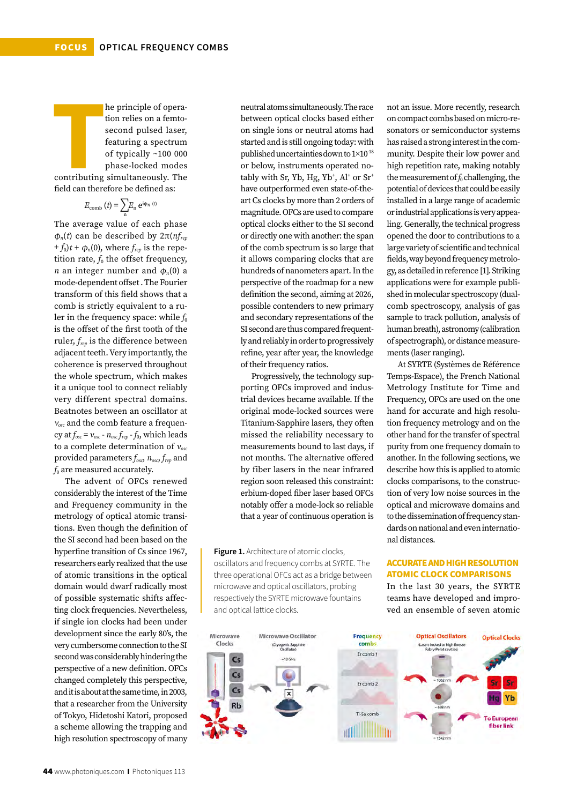**T** he principle of operation relies on a femtosecond pulsed laser, featuring a spectrum of typically ~100 000 phase-locked modes contributing simultaneously. The

field can therefore be defined as:

$$
E_{\rm comb} (t) = \sum_{\rm n} E_{\rm n} e^{i\phi_{n}(t)}
$$

The average value of each phase φ*n*(*t*) can be described by 2π(*nfrep*  $f_0(t + \phi_n(0))$ , where  $f_{rev}$  is the repetition rate,  $f_0$  the offset frequency, *n* an integer number and  $\phi_n(0)$  a mode-dependent offset . The Fourier transform of this field shows that a comb is strictly equivalent to a ruler in the frequency space: while  $f_0$ is the offset of the first tooth of the ruler, *frep* is the difference between adjacent teeth. Very importantly, the coherence is preserved throughout the whole spectrum, which makes it a unique tool to connect reliably very different spectral domains. Beatnotes between an oscillator at <sup>ν</sup>*osc* and the comb feature a frequency at  $f_{osc} = v_{osc} - n_{osc} f_{rep} - f_0$ , which leads to a complete determination of <sup>ν</sup>*osc* provided parameters *fosc*, *nosc*, *frep* and *f*<sub>0</sub> are measured accurately.

The advent of OFCs renewed considerably the interest of the Time and Frequency community in the metrology of optical atomic transitions. Even though the definition of the SI second had been based on the hyperfine transition of Cs since 1967, researchers early realized that the use of atomic transitions in the optical domain would dwarf radically most of possible systematic shifts affecting clock frequencies. Nevertheless, if single ion clocks had been under development since the early 80's, the very cumbersome connection to the SI second was considerably hindering the perspective of a new definition. OFCs changed completely this perspective, and it is about at the same time, in 2003, that a researcher from the University of Tokyo, Hidetoshi Katori, proposed a scheme allowing the trapping and high resolution spectroscopy of many

neutral atoms simultaneously. The race between optical clocks based either on single ions or neutral atoms had started and is still ongoing today: with published uncertainties down to 1×10-18 or below, instruments operated notably with Sr, Yb, Hg, Yb<sup>+</sup>, Al<sup>+</sup> or Sr<sup>+</sup> have outperformed even state-of-theart Cs clocks by more than 2 orders of magnitude. OFCs are used to compare optical clocks either to the SI second or directly one with another: the span of the comb spectrum is so large that it allows comparing clocks that are hundreds of nanometers apart. In the perspective of the roadmap for a new definition the second, aiming at 2026, possible contenders to new primary and secondary representations of the SI second are thus compared frequently and reliably in order to progressively refine, year after year, the knowledge of their frequency ratios.

Progressively, the technology supporting OFCs improved and industrial devices became available. If the original mode-locked sources were Titanium-Sapphire lasers, they often missed the reliability necessary to measurements bound to last days, if not months. The alternative offered by fiber lasers in the near infrared region soon released this constraint: erbium-doped fiber laser based OFCs notably offer a mode-lock so reliable that a year of continuous operation is

**Figure 1.** Architecture of atomic clocks, oscillators and frequency combs at SYRTE. The three operational OFCs act as a bridge between microwave and optical oscillators, probing respectively the SYRTE microwave fountains and optical lattice clocks.

not an issue. More recently, research on compact combs based on micro-resonators or semiconductor systems has raised a strong interest in the community. Despite their low power and high repetition rate, making notably the measurement of  $f_0$  challenging, the potential of devices that could be easily installed in a large range of academic or industrial applications is very appealing. Generally, the technical progress opened the door to contributions to a large variety of scientific and technical fields, way beyond frequency metrology, as detailed in reference [1]. Striking applications were for example published in molecular spectroscopy (dualcomb spectroscopy, analysis of gas sample to track pollution, analysis of human breath), astronomy (calibration of spectrograph), or distance measurements (laser ranging).

At SYRTE (Systèmes de Référence Temps-Espace), the French National Metrology Institute for Time and Frequency, OFCs are used on the one hand for accurate and high resolution frequency metrology and on the other hand for the transfer of spectral purity from one frequency domain to another. In the following sections, we describe how this is applied to atomic clocks comparisons, to the construction of very low noise sources in the optical and microwave domains and to the dissemination of frequency standards on national and even international distances.

### ACCURATE AND HIGH RESOLUTION ATOMIC CLOCK COMPARISONS

In the last 30 years, the SYRTE teams have developed and improved an ensemble of seven atomic

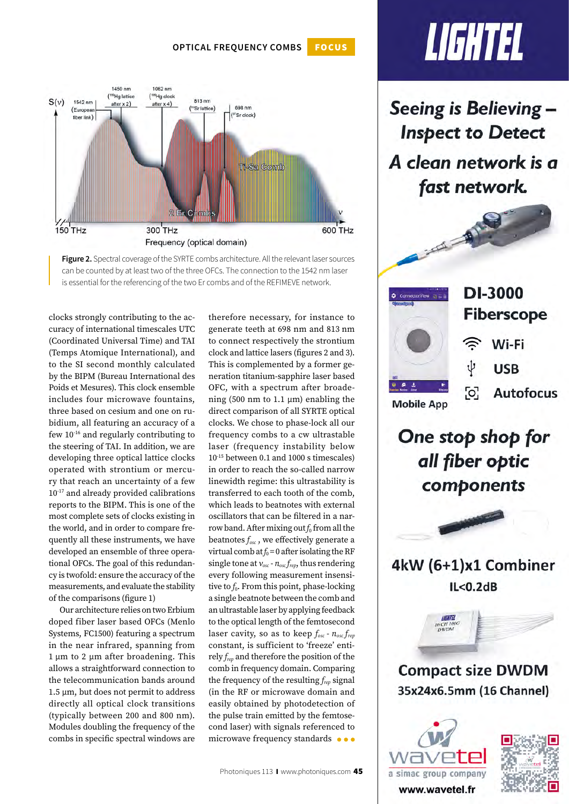**Optical Frequency combs** FOCUS





clocks strongly contributing to the accuracy of international timescales UTC (Coordinated Universal Time) and TAI (Temps Atomique International), and to the SI second monthly calculated by the BIPM (Bureau International des Poids et Mesures). This clock ensemble includes four microwave fountains, three based on cesium and one on rubidium, all featuring an accuracy of a few 10-16 and regularly contributing to the steering of TAI. In addition, we are developing three optical lattice clocks operated with strontium or mercury that reach an uncertainty of a few 10-17 and already provided calibrations reports to the BIPM. This is one of the most complete sets of clocks existing in the world, and in order to compare frequently all these instruments, we have developed an ensemble of three operational OFCs. The goal of this redundancy is twofold: ensure the accuracy of the measurements, and evaluate the stability of the comparisons (figure 1)

Our architecture relies on two Erbium doped fiber laser based OFCs (Menlo Systems, FC1500) featuring a spectrum in the near infrared, spanning from  $1 \mu m$  to  $2 \mu m$  after broadening. This allows a straightforward connection to the telecommunication bands around 1.5 µm, but does not permit to address directly all optical clock transitions (typically between 200 and 800 nm). Modules doubling the frequency of the combs in specific spectral windows are

therefore necessary, for instance to generate teeth at 698 nm and 813 nm to connect respectively the strontium clock and lattice lasers (figures 2 and 3). This is complemented by a former generation titanium-sapphire laser based OFC, with a spectrum after broadening (500 nm to 1.1  $\mu$ m) enabling the direct comparison of all SYRTE optical clocks. We chose to phase-lock all our frequency combs to a cw ultrastable laser (frequency instability below 10-15 between 0.1 and 1000 s timescales) in order to reach the so-called narrow linewidth regime: this ultrastability is transferred to each tooth of the comb, which leads to beatnotes with external oscillators that can be filtered in a narrow band. After mixing out  $f_0$  from all the beatnotes *fosc* , we effectively generate a virtual comb at  $f_0 = 0$  after isolating the RF single tone at <sup>ν</sup>*osc* - *nosc frep*, thus rendering every following measurement insensitive to  $f_0$ . From this point, phase-locking a single beatnote between the comb and an ultrastable laser by applying feedback to the optical length of the femtosecond laser cavity, so as to keep *fosc* - *nosc frep* constant, is sufficient to 'freeze' entirely *frep* and therefore the position of the comb in frequency domain. Comparing the frequency of the resulting *frep* signal (in the RF or microwave domain and easily obtained by photodetection of the pulse train emitted by the femtosecond laser) with signals referenced to microwave frequency standards  $\bullet \bullet \bullet$ 

# LIGHTEL

Seeing is Believing -**Inspect to Detect** A clean network is a fast network.



One stop shop for all fiber optic components



4kW (6+1)x1 Combiner  $IL < 0.2dB$ 



**Compact size DWDM** 35x24x6.5mm (16 Channel)



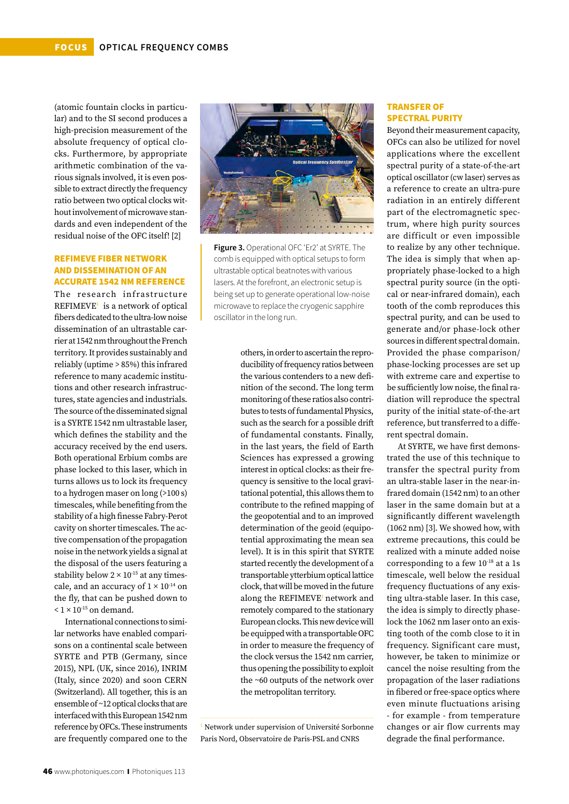(atomic fountain clocks in particular) and to the SI second produces a high-precision measurement of the absolute frequency of optical clocks. Furthermore, by appropriate arithmetic combination of the various signals involved, it is even possible to extract directly the frequency ratio between two optical clocks without involvement of microwave standards and even independent of the residual noise of the OFC itself! [2]

### REFIMEVE FIBER NETWORK AND DISSEMINATION OF AN ACCURATE 1542 NM REFERENCE

The research infrastructure REFIMEVE<sup>1</sup> is a network of optical fibers dedicated to the ultra-low noise dissemination of an ultrastable carrier at 1542 nm throughout the French territory. It provides sustainably and reliably (uptime > 85%) this infrared reference to many academic institutions and other research infrastructures, state agencies and industrials. The source of the disseminated signal is a SYRTE 1542 nm ultrastable laser, which defines the stability and the accuracy received by the end users. Both operational Erbium combs are phase locked to this laser, which in turns allows us to lock its frequency to a hydrogen maser on long (>100 s) timescales, while benefiting from the stability of a high finesse Fabry-Perot cavity on shorter timescales. The active compensation of the propagation noise in the network yields a signal at the disposal of the users featuring a stability below  $2 \times 10^{-15}$  at any timescale, and an accuracy of  $1 \times 10^{-14}$  on the fly, that can be pushed down to  $< 1 \times 10^{-15}$  on demand.

International connections to similar networks have enabled comparisons on a continental scale between SYRTE and PTB (Germany, since 2015), NPL (UK, since 2016), INRIM (Italy, since 2020) and soon CERN (Switzerland). All together, this is an ensemble of ~12 optical clocks that are interfaced with this European 1542 nm reference by OFCs. These instruments are frequently compared one to the



**Figure 3.** Operational OFC 'Er2' at SYRTE. The comb is equipped with optical setups to form ultrastable optical beatnotes with various lasers. At the forefront, an electronic setup is being set up to generate operational low-noise microwave to replace the cryogenic sapphire oscillator in the long run.

> others, in order to ascertain the reproducibility of frequency ratios between the various contenders to a new definition of the second. The long term monitoring of these ratios also contributes to tests of fundamental Physics, such as the search for a possible drift of fundamental constants. Finally, in the last years, the field of Earth Sciences has expressed a growing interest in optical clocks: as their frequency is sensitive to the local gravitational potential, this allows them to contribute to the refined mapping of the geopotential and to an improved determination of the geoid (equipotential approximating the mean sea level). It is in this spirit that SYRTE started recently the development of a transportable ytterbium optical lattice clock, that will be moved in the future along the REFIMEVE<sup>1</sup> network and remotely compared to the stationary European clocks. This new device will be equipped with a transportable OFC in order to measure the frequency of the clock versus the 1542 nm carrier, thus opening the possibility to exploit the ~60 outputs of the network over the metropolitan territory.

<sup>1</sup> Network under supervision of Université Sorbonne Paris Nord, Observatoire de Paris-PSL and CNRS

### TRANSFER OF SPECTRAL PURITY

Beyond their measurement capacity, OFCs can also be utilized for novel applications where the excellent spectral purity of a state-of-the-art optical oscillator (cw laser) serves as a reference to create an ultra-pure radiation in an entirely different part of the electromagnetic spectrum, where high purity sources are difficult or even impossible to realize by any other technique. The idea is simply that when appropriately phase-locked to a high spectral purity source (in the optical or near-infrared domain), each tooth of the comb reproduces this spectral purity, and can be used to generate and/or phase-lock other sources in different spectral domain. Provided the phase comparison/ phase-locking processes are set up with extreme care and expertise to be sufficiently low noise, the final radiation will reproduce the spectral purity of the initial state-of-the-art reference, but transferred to a different spectral domain.

At SYRTE, we have first demonstrated the use of this technique to transfer the spectral purity from an ultra-stable laser in the near-infrared domain (1542 nm) to an other laser in the same domain but at a significantly different wavelength (1062 nm) [3]. We showed how, with extreme precautions, this could be realized with a minute added noise corresponding to a few  $10^{-18}$  at a 1s timescale, well below the residual frequency fluctuations of any existing ultra-stable laser. In this case, the idea is simply to directly phaselock the 1062 nm laser onto an existing tooth of the comb close to it in frequency. Significant care must, however, be taken to minimize or cancel the noise resulting from the propagation of the laser radiations in fibered or free-space optics where even minute fluctuations arising - for example - from temperature changes or air flow currents may degrade the final performance.